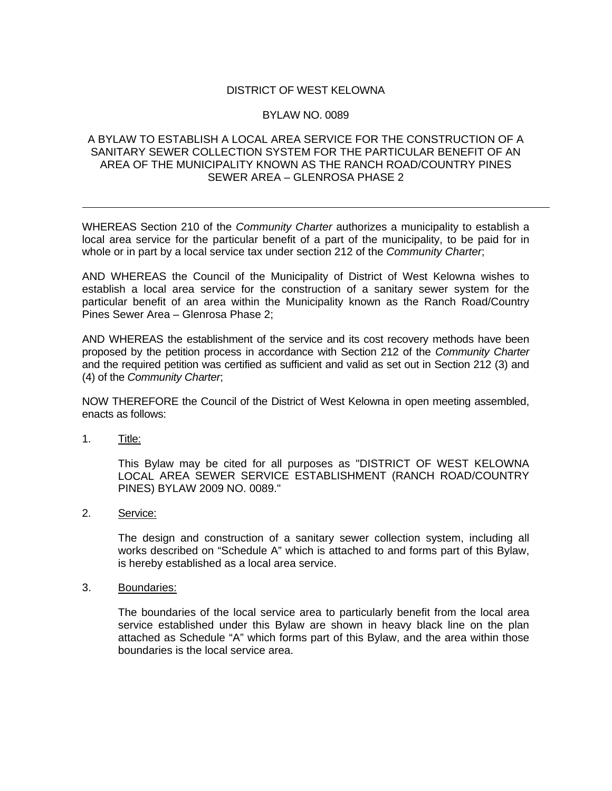## DISTRICT OF WEST KELOWNA

## BYLAW NO. 0089

## A BYLAW TO ESTABLISH A LOCAL AREA SERVICE FOR THE CONSTRUCTION OF A SANITARY SEWER COLLECTION SYSTEM FOR THE PARTICULAR BENEFIT OF AN AREA OF THE MUNICIPALITY KNOWN AS THE RANCH ROAD/COUNTRY PINES SEWER AREA – GLENROSA PHASE 2

WHEREAS Section 210 of the *Community Charter* authorizes a municipality to establish a local area service for the particular benefit of a part of the municipality, to be paid for in whole or in part by a local service tax under section 212 of the *Community Charter*;

AND WHEREAS the Council of the Municipality of District of West Kelowna wishes to establish a local area service for the construction of a sanitary sewer system for the particular benefit of an area within the Municipality known as the Ranch Road/Country Pines Sewer Area – Glenrosa Phase 2;

AND WHEREAS the establishment of the service and its cost recovery methods have been proposed by the petition process in accordance with Section 212 of the *Community Charter* and the required petition was certified as sufficient and valid as set out in Section 212 (3) and (4) of the *Community Charter*;

NOW THEREFORE the Council of the District of West Kelowna in open meeting assembled, enacts as follows:

1. Title:

This Bylaw may be cited for all purposes as "DISTRICT OF WEST KELOWNA LOCAL AREA SEWER SERVICE ESTABLISHMENT (RANCH ROAD/COUNTRY PINES) BYLAW 2009 NO. 0089."

2. Service:

The design and construction of a sanitary sewer collection system, including all works described on "Schedule A" which is attached to and forms part of this Bylaw, is hereby established as a local area service.

3. Boundaries:

The boundaries of the local service area to particularly benefit from the local area service established under this Bylaw are shown in heavy black line on the plan attached as Schedule "A" which forms part of this Bylaw, and the area within those boundaries is the local service area.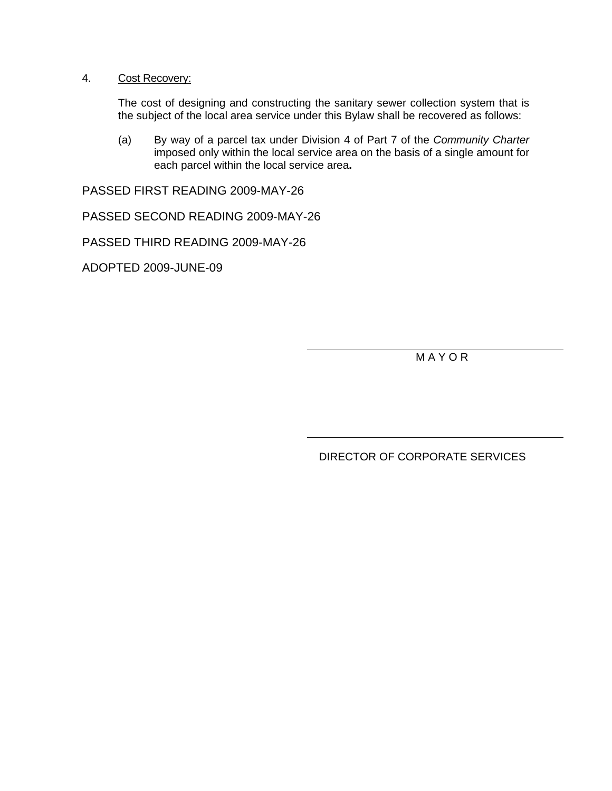## 4. Cost Recovery:

The cost of designing and constructing the sanitary sewer collection system that is the subject of the local area service under this Bylaw shall be recovered as follows:

(a) By way of a parcel tax under Division 4 of Part 7 of the *Community Charter* imposed only within the local service area on the basis of a single amount for each parcel within the local service area**.**

PASSED FIRST READING 2009-MAY-26

PASSED SECOND READING 2009-MAY-26

PASSED THIRD READING 2009-MAY-26

ADOPTED 2009-JUNE-09

M A Y O R

DIRECTOR OF CORPORATE SERVICES